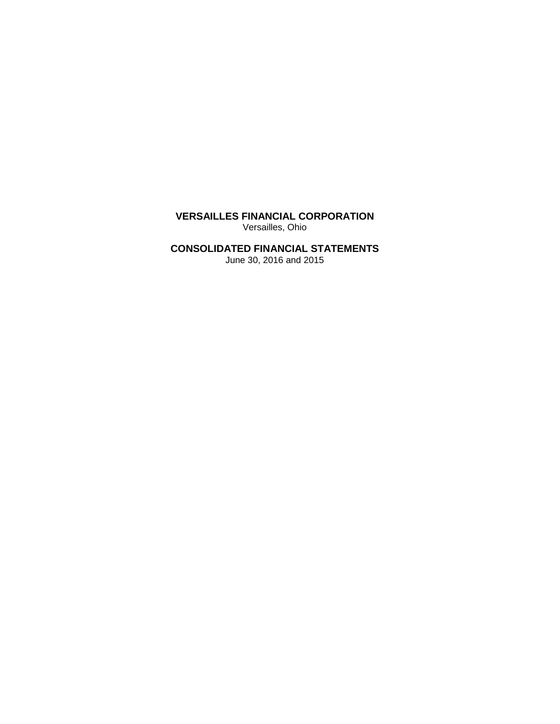**VERSAILLES FINANCIAL CORPORATION** Versailles, Ohio

# **CONSOLIDATED FINANCIAL STATEMENTS**

June 30, 2016 and 2015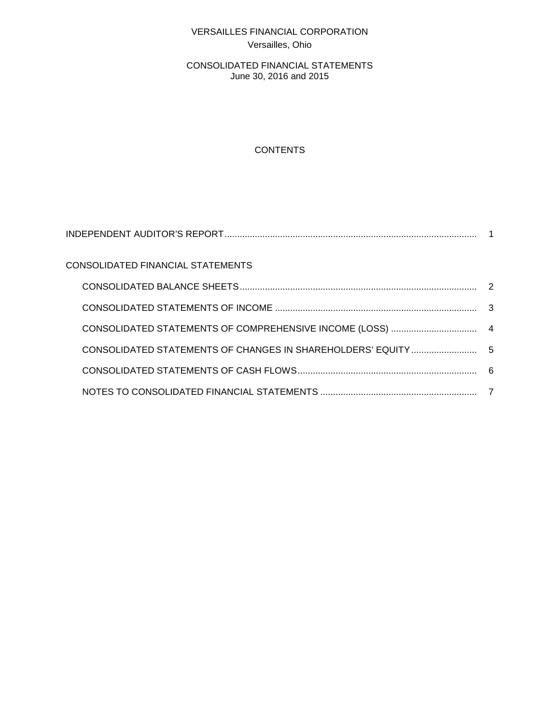# VERSAILLES FINANCIAL CORPORATION Versailles, Ohio

CONSOLIDATED FINANCIAL STATEMENTS June 30, 2016 and 2015

# **CONTENTS**

| CONSOLIDATED FINANCIAL STATEMENTS |  |
|-----------------------------------|--|
|                                   |  |
|                                   |  |
|                                   |  |
|                                   |  |
|                                   |  |
|                                   |  |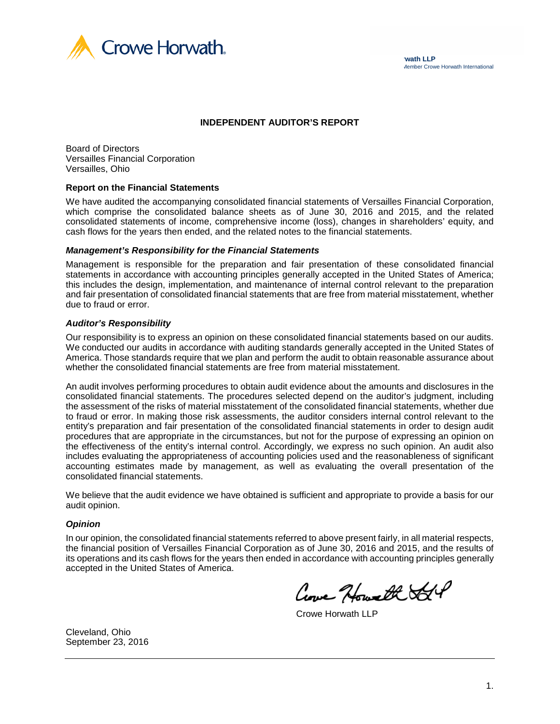

#### **INDEPENDENT AUDITOR'S REPORT**

Board of Directors Versailles Financial Corporation Versailles, Ohio

#### **Report on the Financial Statements**

We have audited the accompanying consolidated financial statements of Versailles Financial Corporation, which comprise the consolidated balance sheets as of June 30, 2016 and 2015, and the related consolidated statements of income, comprehensive income (loss), changes in shareholders' equity, and cash flows for the years then ended, and the related notes to the financial statements.

#### *Management's Responsibility for the Financial Statements*

Management is responsible for the preparation and fair presentation of these consolidated financial statements in accordance with accounting principles generally accepted in the United States of America; this includes the design, implementation, and maintenance of internal control relevant to the preparation and fair presentation of consolidated financial statements that are free from material misstatement, whether due to fraud or error.

#### *Auditor's Responsibility*

Our responsibility is to express an opinion on these consolidated financial statements based on our audits. We conducted our audits in accordance with auditing standards generally accepted in the United States of America. Those standards require that we plan and perform the audit to obtain reasonable assurance about whether the consolidated financial statements are free from material misstatement.

An audit involves performing procedures to obtain audit evidence about the amounts and disclosures in the consolidated financial statements. The procedures selected depend on the auditor's judgment, including the assessment of the risks of material misstatement of the consolidated financial statements, whether due to fraud or error. In making those risk assessments, the auditor considers internal control relevant to the entity's preparation and fair presentation of the consolidated financial statements in order to design audit procedures that are appropriate in the circumstances, but not for the purpose of expressing an opinion on the effectiveness of the entity's internal control. Accordingly, we express no such opinion. An audit also includes evaluating the appropriateness of accounting policies used and the reasonableness of significant accounting estimates made by management, as well as evaluating the overall presentation of the consolidated financial statements.

We believe that the audit evidence we have obtained is sufficient and appropriate to provide a basis for our audit opinion.

#### *Opinion*

In our opinion, the consolidated financial statements referred to above present fairly, in all material respects, the financial position of Versailles Financial Corporation as of June 30, 2016 and 2015, and the results of its operations and its cash flows for the years then ended in accordance with accounting principles generally accepted in the United States of America.

Come Howalk SGP

Crowe Horwath LLP

Cleveland, Ohio September 23, 2016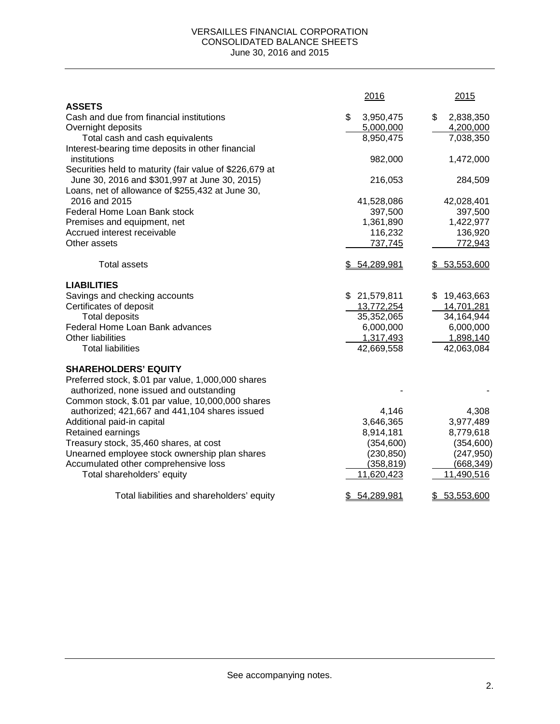#### VERSAILLES FINANCIAL CORPORATION CONSOLIDATED BALANCE SHEETS June 30, 2016 and 2015

|                                                                                                          | 2016                     | 2015                     |
|----------------------------------------------------------------------------------------------------------|--------------------------|--------------------------|
| <b>ASSETS</b>                                                                                            |                          |                          |
| Cash and due from financial institutions                                                                 | \$<br>3,950,475          | 2,838,350<br>\$          |
| Overnight deposits                                                                                       | 5,000,000                | 4,200,000                |
| Total cash and cash equivalents                                                                          | 8,950,475                | 7,038,350                |
| Interest-bearing time deposits in other financial                                                        |                          |                          |
| institutions                                                                                             | 982,000                  | 1,472,000                |
| Securities held to maturity (fair value of \$226,679 at<br>June 30, 2016 and \$301,997 at June 30, 2015) | 216,053                  |                          |
| Loans, net of allowance of \$255,432 at June 30,                                                         |                          | 284,509                  |
| 2016 and 2015                                                                                            | 41,528,086               | 42,028,401               |
| Federal Home Loan Bank stock                                                                             | 397,500                  | 397,500                  |
| Premises and equipment, net                                                                              | 1,361,890                | 1,422,977                |
| Accrued interest receivable                                                                              | 116,232                  | 136,920                  |
| Other assets                                                                                             | 737,745                  | 772,943                  |
|                                                                                                          |                          |                          |
| <b>Total assets</b>                                                                                      | \$54,289,981             | \$53,553,600             |
| <b>LIABILITIES</b>                                                                                       |                          |                          |
| Savings and checking accounts                                                                            | \$21,579,811             | \$19,463,663             |
| Certificates of deposit                                                                                  | 13,772,254               | 14,701,281               |
| <b>Total deposits</b>                                                                                    | 35,352,065               | 34,164,944               |
| Federal Home Loan Bank advances                                                                          | 6,000,000                | 6,000,000                |
| <b>Other liabilities</b>                                                                                 | 1,317,493                | 1,898,140                |
| <b>Total liabilities</b>                                                                                 | 42,669,558               | 42,063,084               |
| <b>SHAREHOLDERS' EQUITY</b>                                                                              |                          |                          |
| Preferred stock, \$.01 par value, 1,000,000 shares                                                       |                          |                          |
| authorized, none issued and outstanding                                                                  |                          |                          |
| Common stock, \$.01 par value, 10,000,000 shares                                                         |                          |                          |
| authorized; 421,667 and 441,104 shares issued                                                            | 4,146                    | 4,308                    |
| Additional paid-in capital                                                                               | 3,646,365                | 3,977,489                |
| Retained earnings                                                                                        | 8,914,181                | 8,779,618                |
| Treasury stock, 35,460 shares, at cost                                                                   | (354, 600)               | (354, 600)               |
| Unearned employee stock ownership plan shares                                                            | (230, 850)               | (247, 950)               |
| Accumulated other comprehensive loss<br>Total shareholders' equity                                       | (358, 819)<br>11,620,423 | (668, 349)<br>11,490,516 |
|                                                                                                          |                          |                          |
| Total liabilities and shareholders' equity                                                               | 54,289,981<br>\$.        | 53,553,600<br>\$         |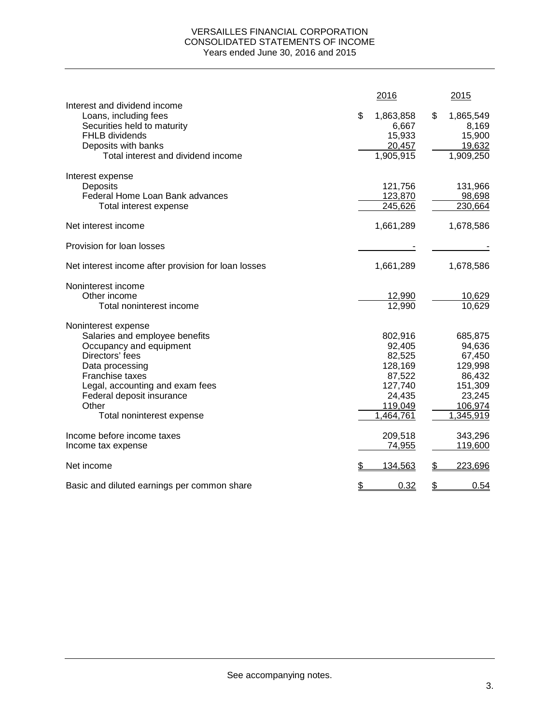### VERSAILLES FINANCIAL CORPORATION CONSOLIDATED STATEMENTS OF INCOME Years ended June 30, 2016 and 2015

|                                                                                                                                                                     | 2016                                                      | 2015                                                      |
|---------------------------------------------------------------------------------------------------------------------------------------------------------------------|-----------------------------------------------------------|-----------------------------------------------------------|
| Interest and dividend income<br>Loans, including fees<br>Securities held to maturity<br>FHLB dividends<br>Deposits with banks<br>Total interest and dividend income | \$<br>1,863,858<br>6,667<br>15,933<br>20,457<br>1,905,915 | \$<br>1,865,549<br>8,169<br>15,900<br>19,632<br>1,909,250 |
| Interest expense                                                                                                                                                    |                                                           |                                                           |
| Deposits                                                                                                                                                            | 121,756                                                   | 131,966                                                   |
| Federal Home Loan Bank advances                                                                                                                                     | 123,870                                                   | 98,698                                                    |
| Total interest expense                                                                                                                                              | 245,626                                                   | 230,664                                                   |
| Net interest income                                                                                                                                                 | 1,661,289                                                 | 1,678,586                                                 |
| Provision for loan losses                                                                                                                                           |                                                           |                                                           |
| Net interest income after provision for loan losses                                                                                                                 | 1,661,289                                                 | 1,678,586                                                 |
| Noninterest income                                                                                                                                                  |                                                           |                                                           |
| Other income                                                                                                                                                        | 12,990                                                    | 10,629                                                    |
| Total noninterest income                                                                                                                                            | 12,990                                                    | 10,629                                                    |
| Noninterest expense                                                                                                                                                 |                                                           |                                                           |
| Salaries and employee benefits                                                                                                                                      | 802,916                                                   | 685,875                                                   |
| Occupancy and equipment                                                                                                                                             | 92,405                                                    | 94,636                                                    |
| Directors' fees                                                                                                                                                     | 82,525                                                    | 67,450                                                    |
| Data processing                                                                                                                                                     | 128,169                                                   | 129,998                                                   |
| Franchise taxes                                                                                                                                                     | 87,522                                                    | 86,432                                                    |
| Legal, accounting and exam fees                                                                                                                                     | 127,740                                                   | 151,309<br>23,245                                         |
| Federal deposit insurance<br>Other                                                                                                                                  | 24,435<br>119,049                                         | 106,974                                                   |
| Total noninterest expense                                                                                                                                           | 1,464,761                                                 | 1,345,919                                                 |
|                                                                                                                                                                     |                                                           |                                                           |
| Income before income taxes                                                                                                                                          | 209,518                                                   | 343,296                                                   |
| Income tax expense                                                                                                                                                  | 74,955                                                    | 119,600                                                   |
| Net income                                                                                                                                                          | \$<br>134,563                                             | \$<br>223,696                                             |
| Basic and diluted earnings per common share                                                                                                                         | \$<br>0.32                                                | \$<br>0.54                                                |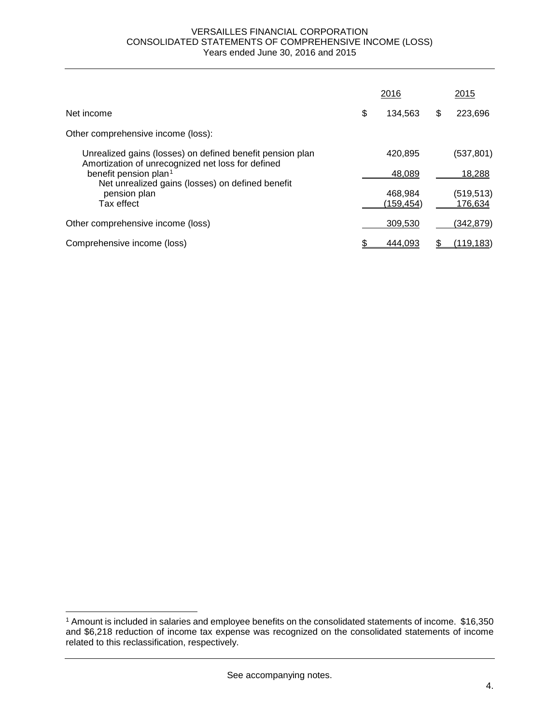#### VERSAILLES FINANCIAL CORPORATION CONSOLIDATED STATEMENTS OF COMPREHENSIVE INCOME (LOSS) Years ended June 30, 2016 and 2015

|                                                                                                                | 2016                  |   | 2015                 |
|----------------------------------------------------------------------------------------------------------------|-----------------------|---|----------------------|
| Net income                                                                                                     | \$<br>134.563         | S | 223,696              |
| Other comprehensive income (loss):                                                                             |                       |   |                      |
| Unrealized gains (losses) on defined benefit pension plan<br>Amortization of unrecognized net loss for defined | 420.895               |   | (537,801)            |
| benefit pension plan <sup>1</sup><br>Net unrealized gains (losses) on defined benefit                          | 48.089                |   | 18,288               |
| pension plan<br>Tax effect                                                                                     | 468,984<br>(159, 454) |   | (519,513)<br>176,634 |
| Other comprehensive income (loss)                                                                              | 309.530               |   | (342,879)            |
| Comprehensive income (loss)                                                                                    | 444.093               |   | (119,183)            |

 $\overline{a}$ 

<span id="page-5-0"></span><sup>1</sup> Amount is included in salaries and employee benefits on the consolidated statements of income. \$16,350 and \$6,218 reduction of income tax expense was recognized on the consolidated statements of income related to this reclassification, respectively.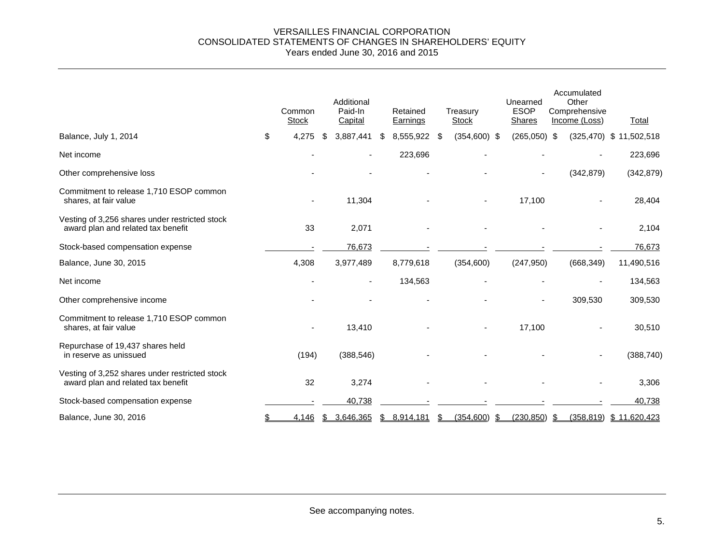#### VERSAILLES FINANCIAL CORPORATION CONSOLIDATED STATEMENTS OF CHANGES IN SHAREHOLDERS' EQUITY Years ended June 30, 2016 and 2015

|                                                                                      | Common<br><b>Stock</b> | Additional<br>Paid-In<br>Capital | Retained<br>Earnings | Treasury<br><b>Stock</b> | Unearned<br><b>ESOP</b><br><b>Shares</b> | Accumulated<br>Other<br>Comprehensive<br>Income (Loss) | Total                     |
|--------------------------------------------------------------------------------------|------------------------|----------------------------------|----------------------|--------------------------|------------------------------------------|--------------------------------------------------------|---------------------------|
| Balance, July 1, 2014                                                                | \$<br>4,275            | \$<br>3,887,441                  | \$<br>8,555,922      | \$<br>$(354,600)$ \$     | $(265,050)$ \$                           |                                                        | (325,470) \$ 11,502,518   |
| Net income                                                                           |                        |                                  | 223,696              |                          |                                          |                                                        | 223,696                   |
| Other comprehensive loss                                                             |                        |                                  |                      |                          | ٠                                        | (342, 879)                                             | (342, 879)                |
| Commitment to release 1,710 ESOP common<br>shares, at fair value                     |                        | 11,304                           |                      |                          | 17,100                                   |                                                        | 28,404                    |
| Vesting of 3,256 shares under restricted stock<br>award plan and related tax benefit | 33                     | 2,071                            |                      |                          |                                          |                                                        | 2,104                     |
| Stock-based compensation expense                                                     |                        | 76,673                           |                      |                          |                                          |                                                        | 76,673                    |
| Balance, June 30, 2015                                                               | 4,308                  | 3,977,489                        | 8,779,618            | (354,600)                | (247, 950)                               | (668, 349)                                             | 11,490,516                |
| Net income                                                                           |                        | $\blacksquare$                   | 134,563              |                          |                                          |                                                        | 134,563                   |
| Other comprehensive income                                                           |                        |                                  |                      |                          |                                          | 309,530                                                | 309,530                   |
| Commitment to release 1,710 ESOP common<br>shares, at fair value                     |                        | 13,410                           |                      |                          | 17,100                                   |                                                        | 30,510                    |
| Repurchase of 19,437 shares held<br>in reserve as unissued                           | (194)                  | (388, 546)                       |                      |                          |                                          |                                                        | (388, 740)                |
| Vesting of 3,252 shares under restricted stock<br>award plan and related tax benefit | 32                     | 3,274                            |                      |                          |                                          |                                                        | 3,306                     |
| Stock-based compensation expense                                                     |                        | 40,738                           |                      |                          |                                          |                                                        | 40,738                    |
| Balance, June 30, 2016                                                               | 4,146                  | \$<br>3,646,365                  | \$<br>8,914,181      | \$<br>$(354,600)$ \$     | $(230, 850)$ \$                          |                                                        | $(358,819)$ \$ 11,620,423 |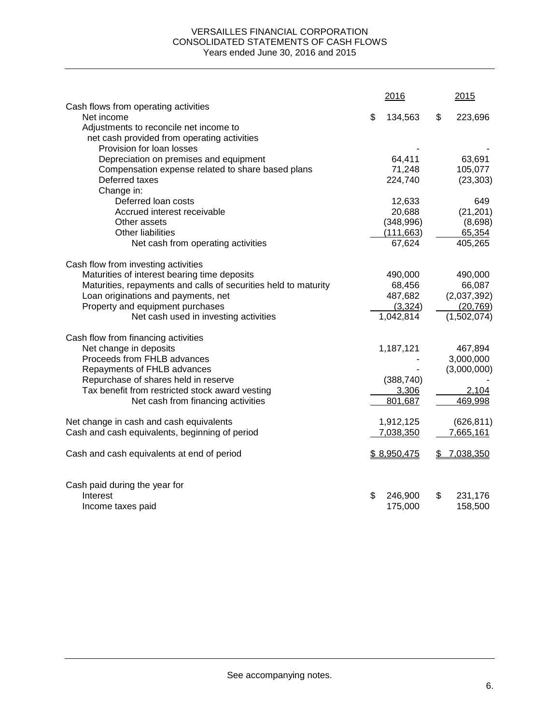### VERSAILLES FINANCIAL CORPORATION CONSOLIDATED STATEMENTS OF CASH FLOWS Years ended June 30, 2016 and 2015

|                                                                 | 2016          | 2015            |
|-----------------------------------------------------------------|---------------|-----------------|
| Cash flows from operating activities<br>Net income              | \$            | \$              |
| Adjustments to reconcile net income to                          | 134,563       | 223,696         |
| net cash provided from operating activities                     |               |                 |
| Provision for loan losses                                       |               |                 |
| Depreciation on premises and equipment                          | 64,411        | 63,691          |
| Compensation expense related to share based plans               | 71,248        | 105,077         |
| Deferred taxes                                                  | 224,740       | (23, 303)       |
| Change in:                                                      |               |                 |
| Deferred loan costs                                             | 12,633        | 649             |
| Accrued interest receivable                                     | 20,688        | (21, 201)       |
| Other assets                                                    | (348,996)     | (8,698)         |
| Other liabilities                                               | (111, 663)    | 65,354          |
|                                                                 | 67,624        | 405,265         |
| Net cash from operating activities                              |               |                 |
| Cash flow from investing activities                             |               |                 |
| Maturities of interest bearing time deposits                    | 490,000       | 490,000         |
| Maturities, repayments and calls of securities held to maturity | 68,456        | 66,087          |
| Loan originations and payments, net                             | 487,682       | (2,037,392)     |
| Property and equipment purchases                                | (3,324)       | (20, 769)       |
| Net cash used in investing activities                           | 1,042,814     | (1,502,074)     |
| Cash flow from financing activities                             |               |                 |
| Net change in deposits                                          | 1,187,121     | 467,894         |
| Proceeds from FHLB advances                                     |               | 3,000,000       |
| Repayments of FHLB advances                                     |               | (3,000,000)     |
| Repurchase of shares held in reserve                            | (388, 740)    |                 |
| Tax benefit from restricted stock award vesting                 | 3,306         | 2,104           |
| Net cash from financing activities                              | 801,687       | 469,998         |
|                                                                 |               |                 |
| Net change in cash and cash equivalents                         | 1,912,125     | (626, 811)      |
| Cash and cash equivalents, beginning of period                  | 7,038,350     | 7,665,161       |
| Cash and cash equivalents at end of period                      | \$8,950,475   | \$<br>7,038,350 |
| Cash paid during the year for                                   |               |                 |
| Interest                                                        | \$<br>246,900 | \$<br>231,176   |
| Income taxes paid                                               | 175,000       | 158,500         |
|                                                                 |               |                 |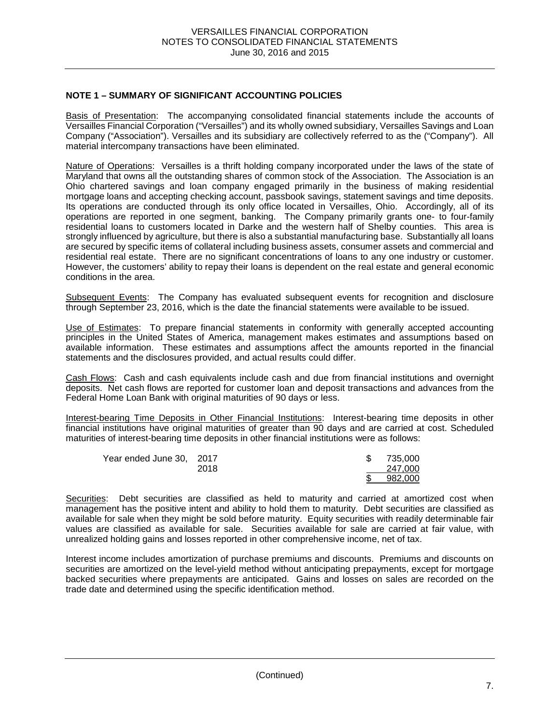## **NOTE 1 – SUMMARY OF SIGNIFICANT ACCOUNTING POLICIES**

Basis of Presentation: The accompanying consolidated financial statements include the accounts of Versailles Financial Corporation ("Versailles") and its wholly owned subsidiary, Versailles Savings and Loan Company ("Association"). Versailles and its subsidiary are collectively referred to as the ("Company"). All material intercompany transactions have been eliminated.

Nature of Operations: Versailles is a thrift holding company incorporated under the laws of the state of Maryland that owns all the outstanding shares of common stock of the Association. The Association is an Ohio chartered savings and loan company engaged primarily in the business of making residential mortgage loans and accepting checking account, passbook savings, statement savings and time deposits. Its operations are conducted through its only office located in Versailles, Ohio. Accordingly, all of its operations are reported in one segment, banking. The Company primarily grants one- to four-family residential loans to customers located in Darke and the western half of Shelby counties. This area is strongly influenced by agriculture, but there is also a substantial manufacturing base. Substantially all loans are secured by specific items of collateral including business assets, consumer assets and commercial and residential real estate. There are no significant concentrations of loans to any one industry or customer. However, the customers' ability to repay their loans is dependent on the real estate and general economic conditions in the area.

Subsequent Events: The Company has evaluated subsequent events for recognition and disclosure through September 23, 2016, which is the date the financial statements were available to be issued.

Use of Estimates: To prepare financial statements in conformity with generally accepted accounting principles in the United States of America, management makes estimates and assumptions based on available information. These estimates and assumptions affect the amounts reported in the financial statements and the disclosures provided, and actual results could differ.

Cash Flows: Cash and cash equivalents include cash and due from financial institutions and overnight deposits. Net cash flows are reported for customer loan and deposit transactions and advances from the Federal Home Loan Bank with original maturities of 90 days or less.

Interest-bearing Time Deposits in Other Financial Institutions: Interest-bearing time deposits in other financial institutions have original maturities of greater than 90 days and are carried at cost. Scheduled maturities of interest-bearing time deposits in other financial institutions were as follows:

| Year ended June 30, 2017 |      |  | 735.000 |
|--------------------------|------|--|---------|
|                          | 2018 |  | 247.000 |
|                          |      |  | 982.000 |

Securities: Debt securities are classified as held to maturity and carried at amortized cost when management has the positive intent and ability to hold them to maturity. Debt securities are classified as available for sale when they might be sold before maturity. Equity securities with readily determinable fair values are classified as available for sale. Securities available for sale are carried at fair value, with unrealized holding gains and losses reported in other comprehensive income, net of tax.

Interest income includes amortization of purchase premiums and discounts. Premiums and discounts on securities are amortized on the level-yield method without anticipating prepayments, except for mortgage backed securities where prepayments are anticipated. Gains and losses on sales are recorded on the trade date and determined using the specific identification method.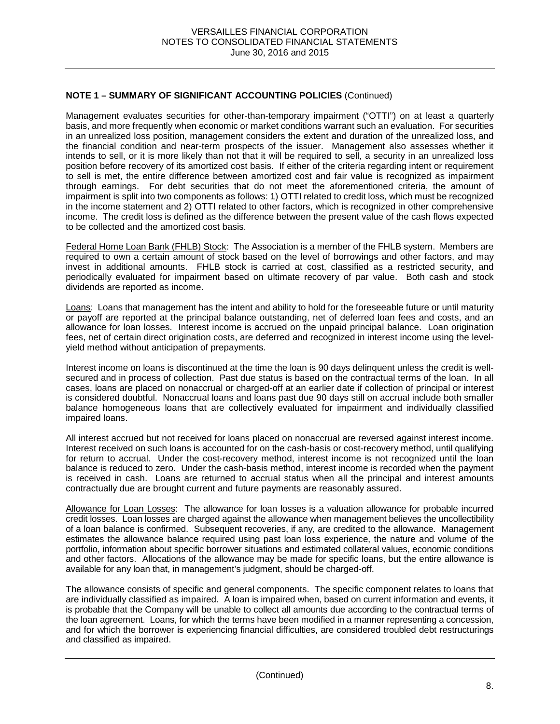Management evaluates securities for other-than-temporary impairment ("OTTI") on at least a quarterly basis, and more frequently when economic or market conditions warrant such an evaluation. For securities in an unrealized loss position, management considers the extent and duration of the unrealized loss, and the financial condition and near-term prospects of the issuer. Management also assesses whether it intends to sell, or it is more likely than not that it will be required to sell, a security in an unrealized loss position before recovery of its amortized cost basis. If either of the criteria regarding intent or requirement to sell is met, the entire difference between amortized cost and fair value is recognized as impairment through earnings. For debt securities that do not meet the aforementioned criteria, the amount of impairment is split into two components as follows: 1) OTTI related to credit loss, which must be recognized in the income statement and 2) OTTI related to other factors, which is recognized in other comprehensive income. The credit loss is defined as the difference between the present value of the cash flows expected to be collected and the amortized cost basis.

Federal Home Loan Bank (FHLB) Stock: The Association is a member of the FHLB system. Members are required to own a certain amount of stock based on the level of borrowings and other factors, and may invest in additional amounts. FHLB stock is carried at cost, classified as a restricted security, and periodically evaluated for impairment based on ultimate recovery of par value. Both cash and stock dividends are reported as income.

Loans: Loans that management has the intent and ability to hold for the foreseeable future or until maturity or payoff are reported at the principal balance outstanding, net of deferred loan fees and costs, and an allowance for loan losses. Interest income is accrued on the unpaid principal balance. Loan origination fees, net of certain direct origination costs, are deferred and recognized in interest income using the levelyield method without anticipation of prepayments.

Interest income on loans is discontinued at the time the loan is 90 days delinquent unless the credit is wellsecured and in process of collection. Past due status is based on the contractual terms of the loan. In all cases, loans are placed on nonaccrual or charged-off at an earlier date if collection of principal or interest is considered doubtful. Nonaccrual loans and loans past due 90 days still on accrual include both smaller balance homogeneous loans that are collectively evaluated for impairment and individually classified impaired loans.

All interest accrued but not received for loans placed on nonaccrual are reversed against interest income. Interest received on such loans is accounted for on the cash-basis or cost-recovery method, until qualifying for return to accrual. Under the cost-recovery method, interest income is not recognized until the loan balance is reduced to zero. Under the cash-basis method, interest income is recorded when the payment is received in cash. Loans are returned to accrual status when all the principal and interest amounts contractually due are brought current and future payments are reasonably assured.

Allowance for Loan Losses: The allowance for loan losses is a valuation allowance for probable incurred credit losses. Loan losses are charged against the allowance when management believes the uncollectibility of a loan balance is confirmed. Subsequent recoveries, if any, are credited to the allowance. Management estimates the allowance balance required using past loan loss experience, the nature and volume of the portfolio, information about specific borrower situations and estimated collateral values, economic conditions and other factors. Allocations of the allowance may be made for specific loans, but the entire allowance is available for any loan that, in management's judgment, should be charged-off.

The allowance consists of specific and general components. The specific component relates to loans that are individually classified as impaired. A loan is impaired when, based on current information and events, it is probable that the Company will be unable to collect all amounts due according to the contractual terms of the loan agreement. Loans, for which the terms have been modified in a manner representing a concession, and for which the borrower is experiencing financial difficulties, are considered troubled debt restructurings and classified as impaired.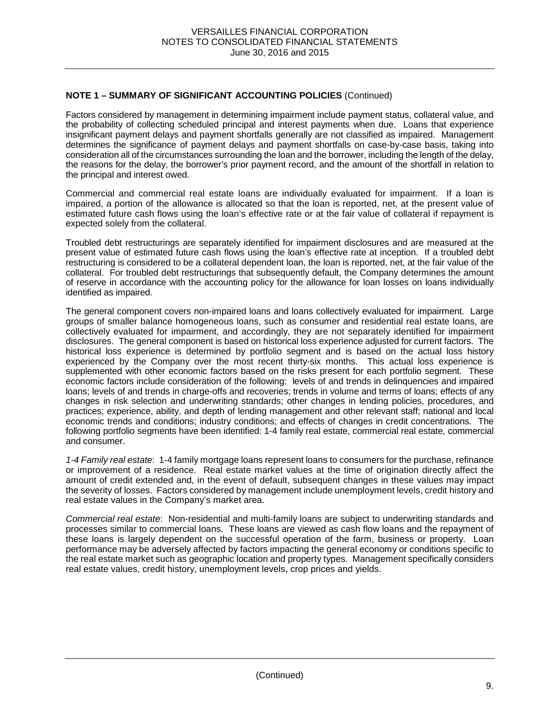Factors considered by management in determining impairment include payment status, collateral value, and the probability of collecting scheduled principal and interest payments when due. Loans that experience insignificant payment delays and payment shortfalls generally are not classified as impaired. Management determines the significance of payment delays and payment shortfalls on case-by-case basis, taking into consideration all of the circumstances surrounding the loan and the borrower, including the length of the delay, the reasons for the delay, the borrower's prior payment record, and the amount of the shortfall in relation to the principal and interest owed.

Commercial and commercial real estate loans are individually evaluated for impairment. If a loan is impaired, a portion of the allowance is allocated so that the loan is reported, net, at the present value of estimated future cash flows using the loan's effective rate or at the fair value of collateral if repayment is expected solely from the collateral.

Troubled debt restructurings are separately identified for impairment disclosures and are measured at the present value of estimated future cash flows using the loan's effective rate at inception. If a troubled debt restructuring is considered to be a collateral dependent loan, the loan is reported, net, at the fair value of the collateral. For troubled debt restructurings that subsequently default, the Company determines the amount of reserve in accordance with the accounting policy for the allowance for loan losses on loans individually identified as impaired.

The general component covers non-impaired loans and loans collectively evaluated for impairment. Large groups of smaller balance homogeneous loans, such as consumer and residential real estate loans, are collectively evaluated for impairment, and accordingly, they are not separately identified for impairment disclosures. The general component is based on historical loss experience adjusted for current factors. The historical loss experience is determined by portfolio segment and is based on the actual loss history experienced by the Company over the most recent thirty-six months. This actual loss experience is supplemented with other economic factors based on the risks present for each portfolio segment. These economic factors include consideration of the following: levels of and trends in delinquencies and impaired loans; levels of and trends in charge-offs and recoveries; trends in volume and terms of loans; effects of any changes in risk selection and underwriting standards; other changes in lending policies, procedures, and practices; experience, ability, and depth of lending management and other relevant staff; national and local economic trends and conditions; industry conditions; and effects of changes in credit concentrations. The following portfolio segments have been identified: 1-4 family real estate, commercial real estate, commercial and consumer.

*1-4 Family real estate*:1-4 family mortgage loans represent loans to consumers for the purchase, refinance or improvement of a residence. Real estate market values at the time of origination directly affect the amount of credit extended and, in the event of default, subsequent changes in these values may impact the severity of losses. Factors considered by management include unemployment levels, credit history and real estate values in the Company's market area.

*Commercial real estate*:Non-residential and multi-family loans are subject to underwriting standards and processes similar to commercial loans. These loans are viewed as cash flow loans and the repayment of these loans is largely dependent on the successful operation of the farm, business or property. Loan performance may be adversely affected by factors impacting the general economy or conditions specific to the real estate market such as geographic location and property types. Management specifically considers real estate values, credit history, unemployment levels, crop prices and yields.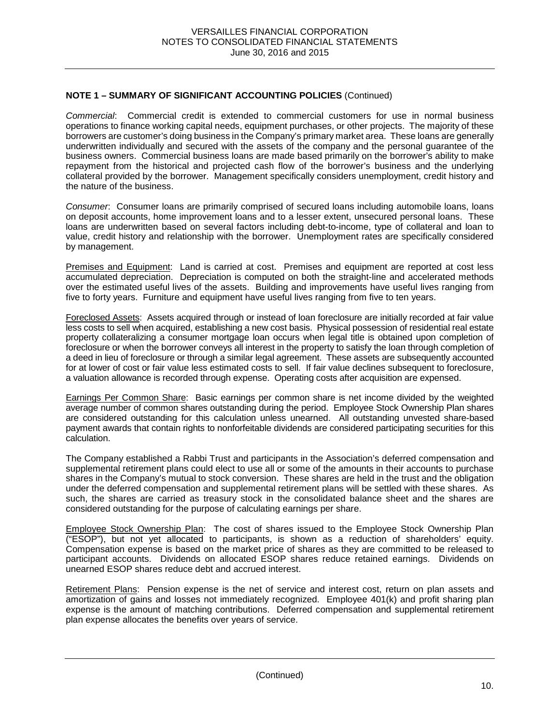*Commercial*: Commercial credit is extended to commercial customers for use in normal business operations to finance working capital needs, equipment purchases, or other projects. The majority of these borrowers are customer's doing business in the Company's primary market area. These loans are generally underwritten individually and secured with the assets of the company and the personal guarantee of the business owners. Commercial business loans are made based primarily on the borrower's ability to make repayment from the historical and projected cash flow of the borrower's business and the underlying collateral provided by the borrower. Management specifically considers unemployment, credit history and the nature of the business.

*Consumer*: Consumer loans are primarily comprised of secured loans including automobile loans, loans on deposit accounts, home improvement loans and to a lesser extent, unsecured personal loans. These loans are underwritten based on several factors including debt-to-income, type of collateral and loan to value, credit history and relationship with the borrower. Unemployment rates are specifically considered by management.

Premises and Equipment: Land is carried at cost. Premises and equipment are reported at cost less accumulated depreciation. Depreciation is computed on both the straight-line and accelerated methods over the estimated useful lives of the assets. Building and improvements have useful lives ranging from five to forty years. Furniture and equipment have useful lives ranging from five to ten years.

Foreclosed Assets: Assets acquired through or instead of loan foreclosure are initially recorded at fair value less costs to sell when acquired, establishing a new cost basis. Physical possession of residential real estate property collateralizing a consumer mortgage loan occurs when legal title is obtained upon completion of foreclosure or when the borrower conveys all interest in the property to satisfy the loan through completion of a deed in lieu of foreclosure or through a similar legal agreement. These assets are subsequently accounted for at lower of cost or fair value less estimated costs to sell. If fair value declines subsequent to foreclosure, a valuation allowance is recorded through expense. Operating costs after acquisition are expensed.

Earnings Per Common Share: Basic earnings per common share is net income divided by the weighted average number of common shares outstanding during the period. Employee Stock Ownership Plan shares are considered outstanding for this calculation unless unearned. All outstanding unvested share-based payment awards that contain rights to nonforfeitable dividends are considered participating securities for this calculation.

The Company established a Rabbi Trust and participants in the Association's deferred compensation and supplemental retirement plans could elect to use all or some of the amounts in their accounts to purchase shares in the Company's mutual to stock conversion. These shares are held in the trust and the obligation under the deferred compensation and supplemental retirement plans will be settled with these shares. As such, the shares are carried as treasury stock in the consolidated balance sheet and the shares are considered outstanding for the purpose of calculating earnings per share.

Employee Stock Ownership Plan: The cost of shares issued to the Employee Stock Ownership Plan ("ESOP"), but not yet allocated to participants, is shown as a reduction of shareholders' equity. Compensation expense is based on the market price of shares as they are committed to be released to participant accounts. Dividends on allocated ESOP shares reduce retained earnings. Dividends on unearned ESOP shares reduce debt and accrued interest.

Retirement Plans: Pension expense is the net of service and interest cost, return on plan assets and amortization of gains and losses not immediately recognized. Employee 401(k) and profit sharing plan expense is the amount of matching contributions. Deferred compensation and supplemental retirement plan expense allocates the benefits over years of service.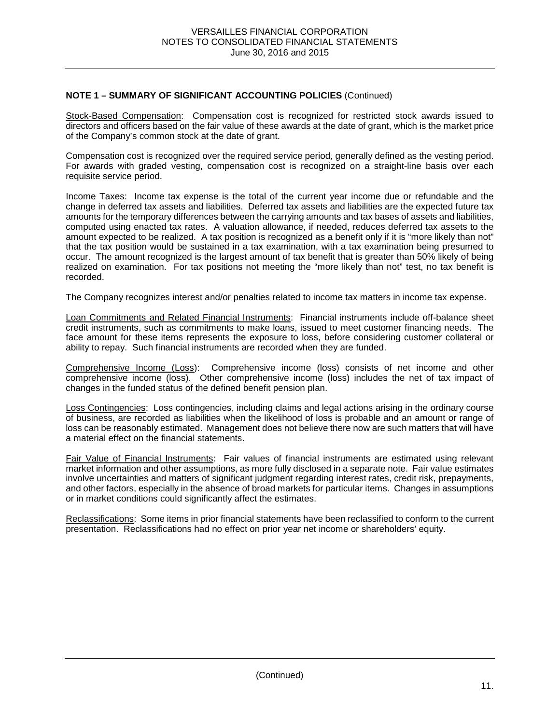Stock-Based Compensation: Compensation cost is recognized for restricted stock awards issued to directors and officers based on the fair value of these awards at the date of grant, which is the market price of the Company's common stock at the date of grant.

Compensation cost is recognized over the required service period, generally defined as the vesting period. For awards with graded vesting, compensation cost is recognized on a straight-line basis over each requisite service period.

Income Taxes: Income tax expense is the total of the current year income due or refundable and the change in deferred tax assets and liabilities. Deferred tax assets and liabilities are the expected future tax amounts for the temporary differences between the carrying amounts and tax bases of assets and liabilities, computed using enacted tax rates. A valuation allowance, if needed, reduces deferred tax assets to the amount expected to be realized. A tax position is recognized as a benefit only if it is "more likely than not" that the tax position would be sustained in a tax examination, with a tax examination being presumed to occur. The amount recognized is the largest amount of tax benefit that is greater than 50% likely of being realized on examination. For tax positions not meeting the "more likely than not" test, no tax benefit is recorded.

The Company recognizes interest and/or penalties related to income tax matters in income tax expense.

Loan Commitments and Related Financial Instruments: Financial instruments include off-balance sheet credit instruments, such as commitments to make loans, issued to meet customer financing needs. The face amount for these items represents the exposure to loss, before considering customer collateral or ability to repay. Such financial instruments are recorded when they are funded.

Comprehensive Income (Loss): Comprehensive income (loss) consists of net income and other comprehensive income (loss). Other comprehensive income (loss) includes the net of tax impact of changes in the funded status of the defined benefit pension plan.

Loss Contingencies: Loss contingencies, including claims and legal actions arising in the ordinary course of business, are recorded as liabilities when the likelihood of loss is probable and an amount or range of loss can be reasonably estimated. Management does not believe there now are such matters that will have a material effect on the financial statements.

Fair Value of Financial Instruments: Fair values of financial instruments are estimated using relevant market information and other assumptions, as more fully disclosed in a separate note. Fair value estimates involve uncertainties and matters of significant judgment regarding interest rates, credit risk, prepayments, and other factors, especially in the absence of broad markets for particular items. Changes in assumptions or in market conditions could significantly affect the estimates.

Reclassifications: Some items in prior financial statements have been reclassified to conform to the current presentation. Reclassifications had no effect on prior year net income or shareholders' equity.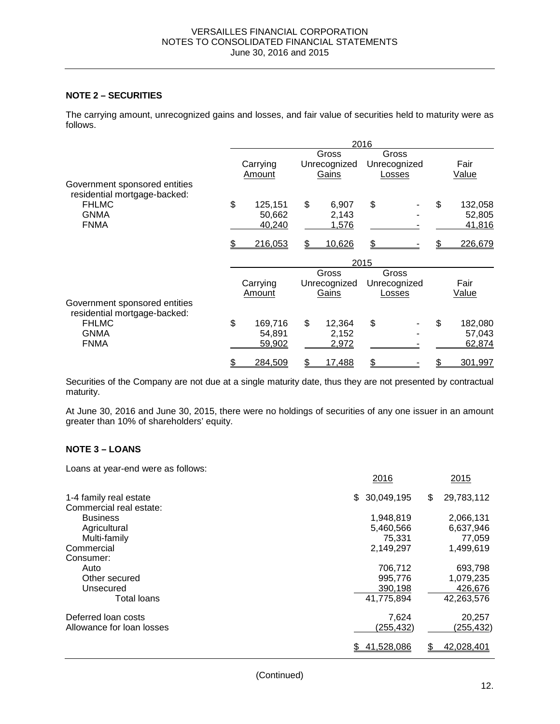# **NOTE 2 – SECURITIES**

The carrying amount, unrecognized gains and losses, and fair value of securities held to maturity were as follows.

|                                                               | 2016 |                   |                       |                |      |                       |    |                   |  |
|---------------------------------------------------------------|------|-------------------|-----------------------|----------------|------|-----------------------|----|-------------------|--|
|                                                               |      | Carrying          | Gross<br>Unrecognized |                |      | Gross<br>Unrecognized |    | Fair              |  |
| Government sponsored entities<br>residential mortgage-backed: |      | Amount            |                       | Gains          |      | Losses                |    | Value             |  |
| <b>FHLMC</b><br><b>GNMA</b>                                   | \$   | 125,151<br>50,662 | \$                    | 6,907<br>2,143 | \$   |                       | \$ | 132,058<br>52,805 |  |
| <b>FNMA</b>                                                   |      | 40,240            |                       | 1,576          |      |                       |    | 41,816            |  |
|                                                               |      | 216,053           | \$                    | 10,626         | \$.  |                       |    | 226,679           |  |
|                                                               |      |                   |                       |                | 2015 |                       |    |                   |  |
|                                                               |      |                   |                       | Gross          |      | Gross                 |    |                   |  |
|                                                               |      | Carrying          |                       | Unrecognized   |      | Unrecognized          |    | Fair              |  |
|                                                               |      | Amount            |                       | Gains          |      | Losses                |    | Value             |  |
| Government sponsored entities<br>residential mortgage-backed: |      |                   |                       |                |      |                       |    |                   |  |
| <b>FHLMC</b>                                                  | \$   | 169,716           | \$                    | 12,364         | \$   |                       | \$ | 182,080           |  |
| <b>GNMA</b>                                                   |      | 54,891            |                       | 2,152          |      |                       |    | 57,043            |  |
| <b>FNMA</b>                                                   |      | 59,902            |                       | 2,972          |      |                       |    | 62,874            |  |
|                                                               |      | 284,509           | S                     | 17,488         | \$   |                       |    | 301,997           |  |

Securities of the Company are not due at a single maturity date, thus they are not presented by contractual maturity.

At June 30, 2016 and June 30, 2015, there were no holdings of securities of any one issuer in an amount greater than 10% of shareholders' equity.

#### **NOTE 3 – LOANS**

Loans at year-end were as follows:

|                           | 2016              | 2015             |
|---------------------------|-------------------|------------------|
| 1-4 family real estate    | 30,049,195<br>\$. | 29,783,112<br>\$ |
| Commercial real estate:   |                   |                  |
| <b>Business</b>           | 1,948,819         | 2,066,131        |
| Agricultural              | 5,460,566         | 6,637,946        |
| Multi-family              | 75,331            | 77,059           |
| Commercial                | 2,149,297         | 1,499,619        |
| Consumer:                 |                   |                  |
| Auto                      | 706,712           | 693,798          |
| Other secured             | 995,776           | 1,079,235        |
| Unsecured                 | 390,198           | 426,676          |
| <b>Total loans</b>        | 41,775,894        | 42,263,576       |
| Deferred loan costs       | 7,624             | 20,257           |
| Allowance for loan losses | (255,432)         | (255,432)        |
|                           | 41,528,086        | 42,028,401       |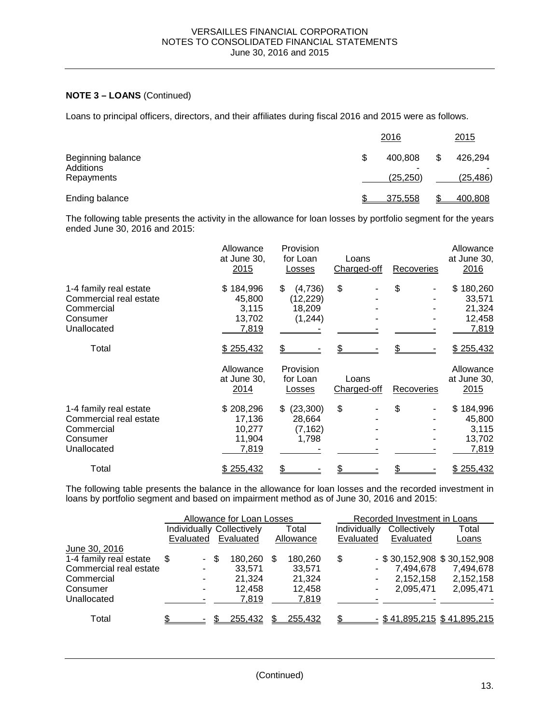# **NOTE 3 – LOANS** (Continued)

Loans to principal officers, directors, and their affiliates during fiscal 2016 and 2015 were as follows.

|                                              | 2016                           | 2015                 |
|----------------------------------------------|--------------------------------|----------------------|
| Beginning balance<br>Additions<br>Repayments | \$<br>400.808<br>۰<br>(25,250) | 426.294<br>(25, 486) |
| Ending balance                               | 375.558                        | 400,808              |

The following table presents the activity in the allowance for loan losses by portfolio segment for the years ended June 30, 2016 and 2015:

|                                                                                           | Allowance<br>at June 30,<br>2015                 | Provision<br>for Loan<br>Losses                  | Loans<br>Charged-off | Recoveries | Allowance<br>at June 30,<br>2016                 |
|-------------------------------------------------------------------------------------------|--------------------------------------------------|--------------------------------------------------|----------------------|------------|--------------------------------------------------|
| 1-4 family real estate<br>Commercial real estate<br>Commercial<br>Consumer<br>Unallocated | \$184,996<br>45,800<br>3,115<br>13,702<br>7,819  | \$<br>(4,736)<br>(12, 229)<br>18,209<br>(1, 244) | \$                   | \$         | \$180,260<br>33,571<br>21,324<br>12,458<br>7,819 |
| Total                                                                                     | \$255,432<br>Allowance<br>at June 30,<br>2014    | Provision<br>for Loan<br>Losses                  | Loans<br>Charged-off | Recoveries | \$255,432<br>Allowance<br>at June 30,<br>2015    |
| 1-4 family real estate<br>Commercial real estate<br>Commercial<br>Consumer<br>Unallocated | \$208,296<br>17,136<br>10,277<br>11,904<br>7,819 | (23, 300)<br>\$<br>28,664<br>(7, 162)<br>1,798   | \$                   | \$         | \$184,996<br>45,800<br>3,115<br>13,702<br>7,819  |
| Total                                                                                     | \$255,432                                        |                                                  |                      |            | \$255,432                                        |

The following table presents the balance in the allowance for loan losses and the recorded investment in loans by portfolio segment and based on impairment method as of June 30, 2016 and 2015:

|                        |     |           | Allowance for Loan Losses |     |           | Recorded Investment in Loans |    |              |                               |  |  |
|------------------------|-----|-----------|---------------------------|-----|-----------|------------------------------|----|--------------|-------------------------------|--|--|
|                        |     |           | Individually Collectively |     | Total     | Individually                 |    | Collectively | Total                         |  |  |
|                        |     | Evaluated | Evaluated                 |     | Allowance | Evaluated                    |    | Evaluated    | Loans                         |  |  |
| June 30, 2016          |     |           |                           |     |           |                              |    |              |                               |  |  |
| 1-4 family real estate | \$. | - \$      | 180,260                   | \$. | 180,260   | \$                           |    |              | $-$ \$30,152,908 \$30,152,908 |  |  |
| Commercial real estate |     | ۰         | 33,571                    |     | 33,571    |                              | ۰. | 7,494,678    | 7,494,678                     |  |  |
| Commercial             |     | ۰         | 21.324                    |     | 21,324    |                              | ۰  | 2,152,158    | 2,152,158                     |  |  |
| Consumer               |     | ۰         | 12.458                    |     | 12,458    |                              |    | 2,095,471    | 2,095,471                     |  |  |
| Unallocated            |     |           | 7,819                     |     | 7,819     |                              |    |              |                               |  |  |
| Total                  |     |           | 255,432                   |     | 255.432   |                              |    |              | $-$ \$41,895,215 \$41,895,215 |  |  |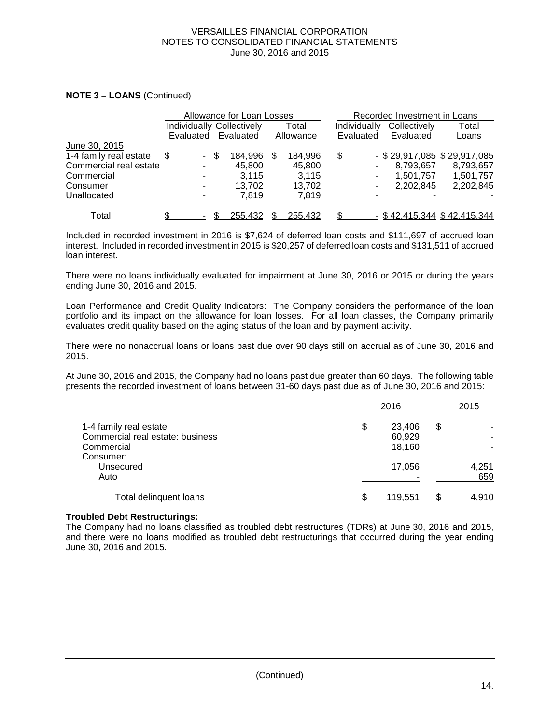### **NOTE 3 – LOANS** (Continued)

|                        |           | Allowance for Loan Losses |  |                                  |     |           |              | Recorded Investment in Loans |                               |
|------------------------|-----------|---------------------------|--|----------------------------------|-----|-----------|--------------|------------------------------|-------------------------------|
|                        |           |                           |  | <b>Individually Collectively</b> |     | Total     | Individually | Collectively                 | Total                         |
|                        | Evaluated |                           |  | Evaluated                        |     | Allowance | Evaluated    | Evaluated                    | Loans                         |
| June 30, 2015          |           |                           |  |                                  |     |           |              |                              |                               |
| 1-4 family real estate | \$        | - \$                      |  | 184,996                          | \$. | 184,996   | \$           |                              | $-$ \$29,917,085 \$29,917,085 |
| Commercial real estate |           | ۰.                        |  | 45.800                           |     | 45.800    |              | 8,793,657                    | 8,793,657                     |
| Commercial             |           | ۰                         |  | 3.115                            |     | 3.115     |              | 1,501,757                    | 1,501,757                     |
| Consumer               |           |                           |  | 13.702                           |     | 13.702    |              | 2,202,845                    | 2,202,845                     |
| Unallocated            |           |                           |  | 7,819                            |     | 7,819     |              |                              |                               |
| Total                  |           |                           |  | 255,432                          |     | 255.432   |              |                              | $-$ \$42,415,344 \$42,415,344 |

Included in recorded investment in 2016 is \$7,624 of deferred loan costs and \$111,697 of accrued loan interest. Included in recorded investment in 2015 is \$20,257 of deferred loan costs and \$131,511 of accrued loan interest.

There were no loans individually evaluated for impairment at June 30, 2016 or 2015 or during the years ending June 30, 2016 and 2015.

Loan Performance and Credit Quality Indicators: The Company considers the performance of the loan portfolio and its impact on the allowance for loan losses. For all loan classes, the Company primarily evaluates credit quality based on the aging status of the loan and by payment activity.

There were no nonaccrual loans or loans past due over 90 days still on accrual as of June 30, 2016 and 2015.

At June 30, 2016 and 2015, the Company had no loans past due greater than 60 days. The following table presents the recorded investment of loans between 31-60 days past due as of June 30, 2016 and 2015:

|                                  | 2016           | 2015  |
|----------------------------------|----------------|-------|
| 1-4 family real estate           | \$<br>23.406   | \$    |
| Commercial real estate: business | 60,929         |       |
| Commercial                       | 18.160         |       |
| Consumer:                        |                |       |
| Unsecured                        | 17,056         | 4,251 |
| Auto                             |                | 659   |
| Total delinquent loans           | <u>119,551</u> | 4,910 |

#### **Troubled Debt Restructurings:**

The Company had no loans classified as troubled debt restructures (TDRs) at June 30, 2016 and 2015, and there were no loans modified as troubled debt restructurings that occurred during the year ending June 30, 2016 and 2015.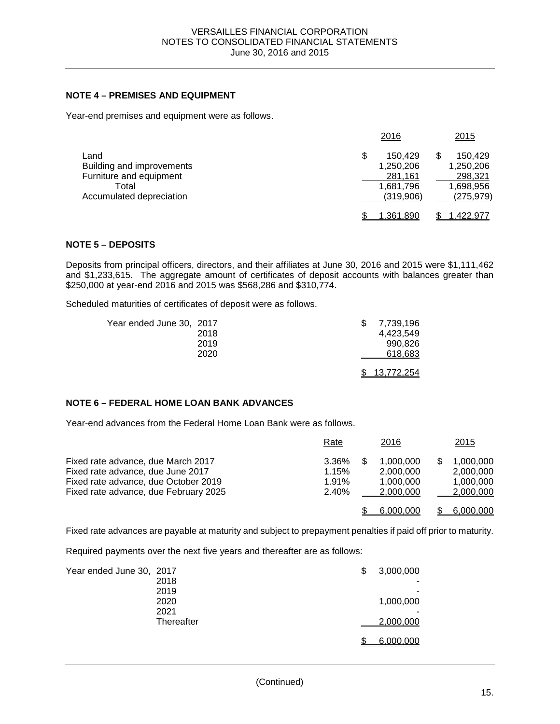### **NOTE 4 – PREMISES AND EQUIPMENT**

Year-end premises and equipment were as follows.

|                                                                                                   | 2016                                                            | 2015                                                       |
|---------------------------------------------------------------------------------------------------|-----------------------------------------------------------------|------------------------------------------------------------|
| Land<br>Building and improvements<br>Furniture and equipment<br>Total<br>Accumulated depreciation | \$<br>150.429<br>1,250,206<br>281,161<br>1,681,796<br>(319,906) | 150,429<br>1,250,206<br>298,321<br>1,698,956<br>(275, 979) |
|                                                                                                   | 1.361.890                                                       | ,422,977                                                   |

### **NOTE 5 – DEPOSITS**

Deposits from principal officers, directors, and their affiliates at June 30, 2016 and 2015 were \$1,111,462 and \$1,233,615. The aggregate amount of certificates of deposit accounts with balances greater than \$250,000 at year-end 2016 and 2015 was \$568,286 and \$310,774.

Scheduled maturities of certificates of deposit were as follows.

| Year ended June 30, 2017 |      | 7,739,196    |
|--------------------------|------|--------------|
|                          | 2018 | 4.423.549    |
|                          | 2019 | 990,826      |
|                          | 2020 | 618,683      |
|                          |      | \$13,772,254 |

# **NOTE 6 – FEDERAL HOME LOAN BANK ADVANCES**

Year-end advances from the Federal Home Loan Bank were as follows.

|                                                                                                                                                          | Rate                             |     | <u> 2016</u>                                     | <u> 2015</u>                                     |
|----------------------------------------------------------------------------------------------------------------------------------------------------------|----------------------------------|-----|--------------------------------------------------|--------------------------------------------------|
| Fixed rate advance, due March 2017<br>Fixed rate advance, due June 2017<br>Fixed rate advance, due October 2019<br>Fixed rate advance, due February 2025 | 3.36%<br>1.15%<br>1.91%<br>2.40% | \$. | 1.000.000<br>2.000.000<br>1.000.000<br>2.000.000 | 1.000.000<br>2,000,000<br>1,000,000<br>2,000,000 |
|                                                                                                                                                          |                                  |     | 6.000.000                                        | 6,000,000                                        |

Fixed rate advances are payable at maturity and subject to prepayment penalties if paid off prior to maturity.

Required payments over the next five years and thereafter are as follows:

| Year ended June 30, 2017 |            | \$<br>3,000,000 |
|--------------------------|------------|-----------------|
|                          | 2018       |                 |
|                          | 2019       |                 |
|                          | 2020       | 1,000,000       |
|                          | 2021       |                 |
|                          | Thereafter | 2,000,000       |
|                          |            | 6,000,000       |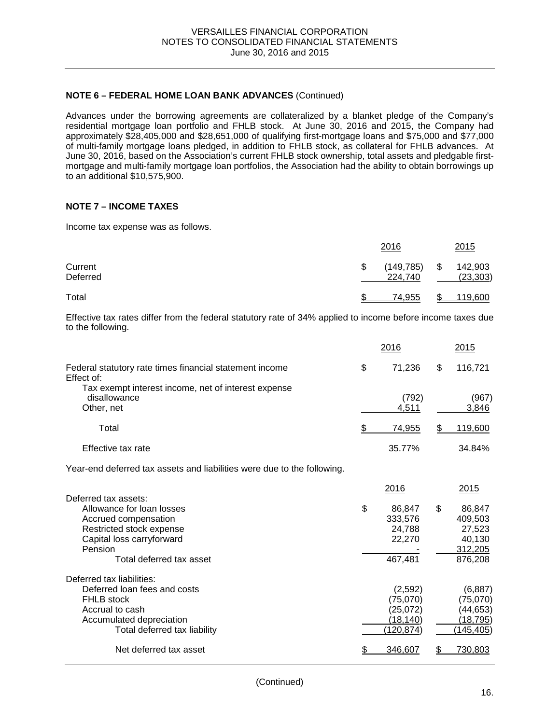#### **NOTE 6 – FEDERAL HOME LOAN BANK ADVANCES** (Continued)

Advances under the borrowing agreements are collateralized by a blanket pledge of the Company's residential mortgage loan portfolio and FHLB stock. At June 30, 2016 and 2015, the Company had approximately \$28,405,000 and \$28,651,000 of qualifying first-mortgage loans and \$75,000 and \$77,000 of multi-family mortgage loans pledged, in addition to FHLB stock, as collateral for FHLB advances. At June 30, 2016, based on the Association's current FHLB stock ownership, total assets and pledgable firstmortgage and multi-family mortgage loan portfolios, the Association had the ability to obtain borrowings up to an additional \$10,575,900.

### **NOTE 7 – INCOME TAXES**

Income tax expense was as follows.

|                     |   | 2016                  | 2015                       |
|---------------------|---|-----------------------|----------------------------|
| Current<br>Deferred | S | (149, 785)<br>224,740 | \$<br>142,903<br>(23, 303) |
| Total               |   | 74.955                | 119,600                    |

Effective tax rates differ from the federal statutory rate of 34% applied to income before income taxes due to the following.

|                                                                                                                                                               | <u>2016</u>                                                | 2015                                                    |
|---------------------------------------------------------------------------------------------------------------------------------------------------------------|------------------------------------------------------------|---------------------------------------------------------|
| Federal statutory rate times financial statement income<br>Effect of:                                                                                         | \$<br>71,236                                               | \$<br>116,721                                           |
| Tax exempt interest income, net of interest expense<br>disallowance<br>Other, net                                                                             | (792)<br>4,511                                             | (967)<br>3,846                                          |
| Total                                                                                                                                                         | \$<br><u>74,955</u>                                        | \$<br>119,600                                           |
| Effective tax rate                                                                                                                                            | 35.77%                                                     | 34.84%                                                  |
| Year-end deferred tax assets and liabilities were due to the following.                                                                                       |                                                            |                                                         |
| Deferred tax assets:<br>Allowance for loan losses<br>Accrued compensation<br>Restricted stock expense                                                         | \$<br>2016<br>86,847<br>333,576<br>24.788                  | \$<br>2015<br>86,847<br>409,503<br>27,523               |
| Capital loss carryforward<br>Pension<br>Total deferred tax asset                                                                                              | 22,270<br>467,481                                          | 40,130<br>312,205<br>876,208                            |
| Deferred tax liabilities:<br>Deferred loan fees and costs<br><b>FHLB</b> stock<br>Accrual to cash<br>Accumulated depreciation<br>Total deferred tax liability | (2,592)<br>(75,070)<br>(25,072)<br>(18, 140)<br>(120, 874) | (6,887)<br>(75,070)<br>(44,653)<br>(18, 795)<br>145,405 |
| Net deferred tax asset                                                                                                                                        | \$<br>346,607                                              | 730,803                                                 |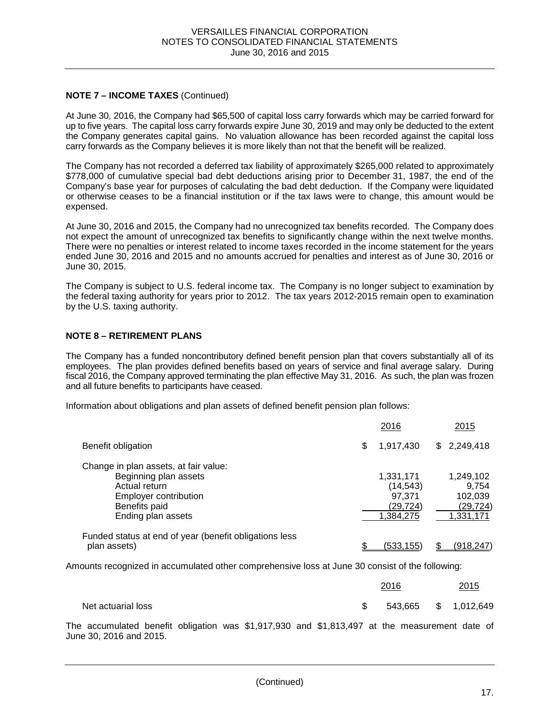# **NOTE 7 – INCOME TAXES** (Continued)

At June 30, 2016, the Company had \$65,500 of capital loss carry forwards which may be carried forward for up to five years. The capital loss carry forwards expire June 30, 2019 and may only be deducted to the extent the Company generates capital gains. No valuation allowance has been recorded against the capital loss carry forwards as the Company believes it is more likely than not that the benefit will be realized.

The Company has not recorded a deferred tax liability of approximately \$265,000 related to approximately \$778,000 of cumulative special bad debt deductions arising prior to December 31, 1987, the end of the Company's base year for purposes of calculating the bad debt deduction. If the Company were liquidated or otherwise ceases to be a financial institution or if the tax laws were to change, this amount would be expensed.

At June 30, 2016 and 2015, the Company had no unrecognized tax benefits recorded. The Company does not expect the amount of unrecognized tax benefits to significantly change within the next twelve months. There were no penalties or interest related to income taxes recorded in the income statement for the years ended June 30, 2016 and 2015 and no amounts accrued for penalties and interest as of June 30, 2016 or June 30, 2015.

The Company is subject to U.S. federal income tax. The Company is no longer subject to examination by the federal taxing authority for years prior to 2012. The tax years 2012-2015 remain open to examination by the U.S. taxing authority.

### **NOTE 8 – RETIREMENT PLANS**

The Company has a funded noncontributory defined benefit pension plan that covers substantially all of its employees. The plan provides defined benefits based on years of service and final average salary. During fiscal 2016, the Company approved terminating the plan effective May 31, 2016. As such, the plan was frozen and all future benefits to participants have ceased.

Information about obligations and plan assets of defined benefit pension plan follows:

|                                                                                                                                                 | 2016                                                       | 2015                                                    |
|-------------------------------------------------------------------------------------------------------------------------------------------------|------------------------------------------------------------|---------------------------------------------------------|
| Benefit obligation                                                                                                                              | \$<br>1,917,430                                            | \$2,249,418                                             |
| Change in plan assets, at fair value:<br>Beginning plan assets<br>Actual return<br>Employer contribution<br>Benefits paid<br>Ending plan assets | 1,331,171<br>(14, 543)<br>97,371<br>(29, 724)<br>1,384,275 | 1,249,102<br>9.754<br>102,039<br>(29, 724)<br>1,331,171 |
| Funded status at end of year (benefit obligations less<br>plan assets)                                                                          | (533.155)                                                  | <u>(918,247)</u>                                        |

Amounts recognized in accumulated other comprehensive loss at June 30 consist of the following:

|                    | 2016 |                      |  | 2015 |  |  |
|--------------------|------|----------------------|--|------|--|--|
| Net actuarial loss | S S  | 543,665 \$ 1,012,649 |  |      |  |  |

The accumulated benefit obligation was \$1,917,930 and \$1,813,497 at the measurement date of June 30, 2016 and 2015.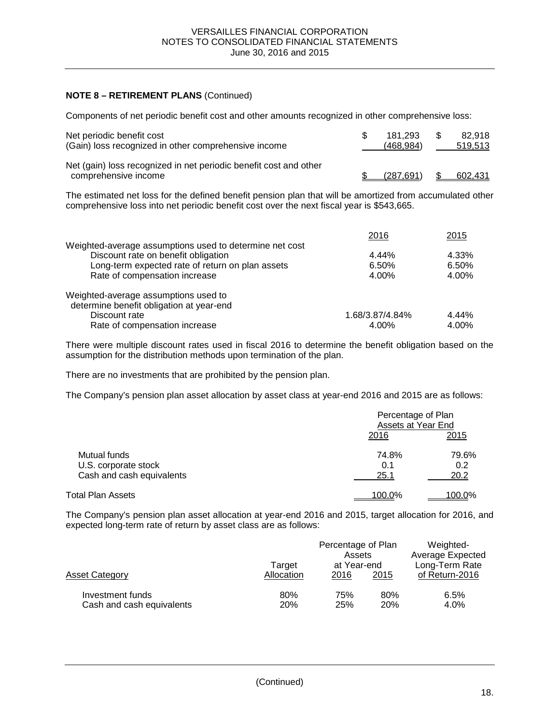# **NOTE 8 – RETIREMENT PLANS** (Continued)

Components of net periodic benefit cost and other amounts recognized in other comprehensive loss:

| Net periodic benefit cost<br>(Gain) loss recognized in other comprehensive income         | 181.293<br>(468.984) | 82.918<br>519.513 |
|-------------------------------------------------------------------------------------------|----------------------|-------------------|
| Net (gain) loss recognized in net periodic benefit cost and other<br>comprehensive income | (287.691)            | 602.431           |

The estimated net loss for the defined benefit pension plan that will be amortized from accumulated other comprehensive loss into net periodic benefit cost over the next fiscal year is \$543,665.

|                                                         | 2016            | 2015  |
|---------------------------------------------------------|-----------------|-------|
| Weighted-average assumptions used to determine net cost |                 |       |
| Discount rate on benefit obligation                     | 4.44%           | 4.33% |
| Long-term expected rate of return on plan assets        | 6.50%           | 6.50% |
| Rate of compensation increase                           | 4.00%           | 4.00% |
| Weighted-average assumptions used to                    |                 |       |
| determine benefit obligation at year-end                |                 |       |
| Discount rate                                           | 1.68/3.87/4.84% | 4.44% |
| Rate of compensation increase                           | 4.00%           | 4.00% |

There were multiple discount rates used in fiscal 2016 to determine the benefit obligation based on the assumption for the distribution methods upon termination of the plan.

There are no investments that are prohibited by the pension plan.

The Company's pension plan asset allocation by asset class at year-end 2016 and 2015 are as follows:

|                                                                   | Percentage of Plan<br>Assets at Year End |                      |  |
|-------------------------------------------------------------------|------------------------------------------|----------------------|--|
|                                                                   | 2016                                     | 2015                 |  |
| Mutual funds<br>U.S. corporate stock<br>Cash and cash equivalents | 74.8%<br>0.1<br>25.1                     | 79.6%<br>0.2<br>20.2 |  |
| Total Plan Assets                                                 | 100.0%                                   | <u>100.0%</u>        |  |

The Company's pension plan asset allocation at year-end 2016 and 2015, target allocation for 2016, and expected long-term rate of return by asset class are as follows:

|                                               | Target     | Percentage of Plan<br>Assets<br>at Year-end |                   | Weighted-<br><b>Average Expected</b><br>Long-Term Rate |  |  |
|-----------------------------------------------|------------|---------------------------------------------|-------------------|--------------------------------------------------------|--|--|
| Asset Category                                | Allocation | 2016                                        | 2015              | of Return-2016                                         |  |  |
| Investment funds<br>Cash and cash equivalents | 80%<br>20% | 75%<br>25%                                  | 80%<br><b>20%</b> | 6.5%<br>4.0%                                           |  |  |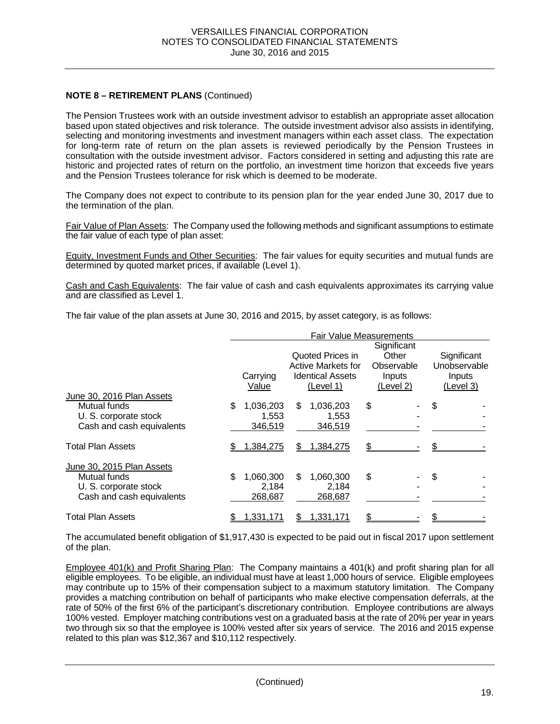# **NOTE 8 – RETIREMENT PLANS** (Continued)

The Pension Trustees work with an outside investment advisor to establish an appropriate asset allocation based upon stated objectives and risk tolerance. The outside investment advisor also assists in identifying, selecting and monitoring investments and investment managers within each asset class. The expectation for long-term rate of return on the plan assets is reviewed periodically by the Pension Trustees in consultation with the outside investment advisor. Factors considered in setting and adjusting this rate are historic and projected rates of return on the portfolio, an investment time horizon that exceeds five years and the Pension Trustees tolerance for risk which is deemed to be moderate.

The Company does not expect to contribute to its pension plan for the year ended June 30, 2017 due to the termination of the plan.

Fair Value of Plan Assets: The Company used the following methods and significant assumptions to estimate the fair value of each type of plan asset:

Equity, Investment Funds and Other Securities: The fair values for equity securities and mutual funds are determined by quoted market prices, if available (Level 1).

Cash and Cash Equivalents: The fair value of cash and cash equivalents approximates its carrying value and are classified as Level 1.

The fair value of the plan assets at June 30, 2016 and 2015, by asset category, is as follows:

|                           | <b>Fair Value Measurements</b> |                                      |                      |                     |  |
|---------------------------|--------------------------------|--------------------------------------|----------------------|---------------------|--|
|                           |                                | Quoted Prices in                     | Significant<br>Other | Significant         |  |
|                           |                                | Active Markets for                   | Observable           | Unobservable        |  |
|                           | Carrying<br>Value              | <b>Identical Assets</b><br>(Level 1) | Inputs<br>(Level 2)  | Inputs<br>(Level 3) |  |
| June 30, 2016 Plan Assets |                                |                                      |                      |                     |  |
| Mutual funds              | \$<br>1,036,203                | 1,036,203<br>\$.                     | \$                   | \$                  |  |
| U. S. corporate stock     | 1,553                          | 1,553                                |                      |                     |  |
| Cash and cash equivalents | 346,519                        | 346,519                              |                      |                     |  |
| <b>Total Plan Assets</b>  | <u>1,384,275</u>               | <u>1,384,275</u><br>S                |                      |                     |  |
| June 30, 2015 Plan Assets |                                |                                      |                      |                     |  |
| Mutual funds              | \$<br>1,060,300                | 1,060,300<br>\$.                     | \$                   | \$.                 |  |
| U. S. corporate stock     | 2.184                          | 2,184                                |                      |                     |  |
| Cash and cash equivalents | 268,687                        | 268,687                              |                      |                     |  |
| <b>Total Plan Assets</b>  | 1,331,171                      | 1,331,171<br>SБ                      |                      |                     |  |

The accumulated benefit obligation of \$1,917,430 is expected to be paid out in fiscal 2017 upon settlement of the plan.

Employee 401(k) and Profit Sharing Plan: The Company maintains a 401(k) and profit sharing plan for all eligible employees. To be eligible, an individual must have at least 1,000 hours of service. Eligible employees may contribute up to 15% of their compensation subject to a maximum statutory limitation. The Company provides a matching contribution on behalf of participants who make elective compensation deferrals, at the rate of 50% of the first 6% of the participant's discretionary contribution. Employee contributions are always 100% vested. Employer matching contributions vest on a graduated basis at the rate of 20% per year in years two through six so that the employee is 100% vested after six years of service. The 2016 and 2015 expense related to this plan was \$12,367 and \$10,112 respectively.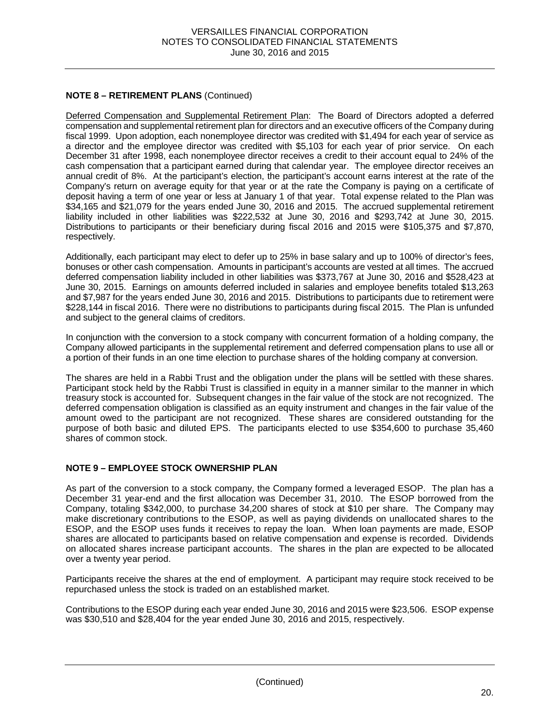# **NOTE 8 – RETIREMENT PLANS** (Continued)

Deferred Compensation and Supplemental Retirement Plan: The Board of Directors adopted a deferred compensation and supplemental retirement plan for directors and an executive officers of the Company during fiscal 1999. Upon adoption, each nonemployee director was credited with \$1,494 for each year of service as a director and the employee director was credited with \$5,103 for each year of prior service. On each December 31 after 1998, each nonemployee director receives a credit to their account equal to 24% of the cash compensation that a participant earned during that calendar year. The employee director receives an annual credit of 8%. At the participant's election, the participant's account earns interest at the rate of the Company's return on average equity for that year or at the rate the Company is paying on a certificate of deposit having a term of one year or less at January 1 of that year. Total expense related to the Plan was \$34,165 and \$21,079 for the years ended June 30, 2016 and 2015. The accrued supplemental retirement liability included in other liabilities was \$222,532 at June 30, 2016 and \$293,742 at June 30, 2015. Distributions to participants or their beneficiary during fiscal 2016 and 2015 were \$105,375 and \$7,870, respectively.

Additionally, each participant may elect to defer up to 25% in base salary and up to 100% of director's fees, bonuses or other cash compensation. Amounts in participant's accounts are vested at all times. The accrued deferred compensation liability included in other liabilities was \$373,767 at June 30, 2016 and \$528,423 at June 30, 2015. Earnings on amounts deferred included in salaries and employee benefits totaled \$13,263 and \$7,987 for the years ended June 30, 2016 and 2015. Distributions to participants due to retirement were \$228,144 in fiscal 2016. There were no distributions to participants during fiscal 2015. The Plan is unfunded and subject to the general claims of creditors.

In conjunction with the conversion to a stock company with concurrent formation of a holding company, the Company allowed participants in the supplemental retirement and deferred compensation plans to use all or a portion of their funds in an one time election to purchase shares of the holding company at conversion.

The shares are held in a Rabbi Trust and the obligation under the plans will be settled with these shares. Participant stock held by the Rabbi Trust is classified in equity in a manner similar to the manner in which treasury stock is accounted for. Subsequent changes in the fair value of the stock are not recognized. The deferred compensation obligation is classified as an equity instrument and changes in the fair value of the amount owed to the participant are not recognized. These shares are considered outstanding for the purpose of both basic and diluted EPS. The participants elected to use \$354,600 to purchase 35,460 shares of common stock.

### **NOTE 9 – EMPLOYEE STOCK OWNERSHIP PLAN**

As part of the conversion to a stock company, the Company formed a leveraged ESOP. The plan has a December 31 year-end and the first allocation was December 31, 2010. The ESOP borrowed from the Company, totaling \$342,000, to purchase 34,200 shares of stock at \$10 per share. The Company may make discretionary contributions to the ESOP, as well as paying dividends on unallocated shares to the ESOP, and the ESOP uses funds it receives to repay the loan. When loan payments are made, ESOP shares are allocated to participants based on relative compensation and expense is recorded. Dividends on allocated shares increase participant accounts. The shares in the plan are expected to be allocated over a twenty year period.

Participants receive the shares at the end of employment. A participant may require stock received to be repurchased unless the stock is traded on an established market.

Contributions to the ESOP during each year ended June 30, 2016 and 2015 were \$23,506. ESOP expense was \$30,510 and \$28,404 for the year ended June 30, 2016 and 2015, respectively.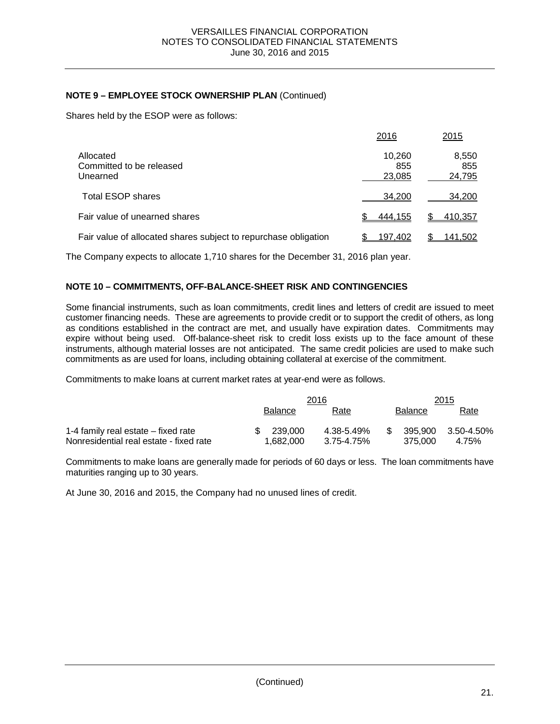# **NOTE 9 – EMPLOYEE STOCK OWNERSHIP PLAN** (Continued)

Shares held by the ESOP were as follows:

|                                                                 | 2016                    | 2015                   |
|-----------------------------------------------------------------|-------------------------|------------------------|
| Allocated<br>Committed to be released<br>Unearned               | 10,260<br>855<br>23,085 | 8,550<br>855<br>24,795 |
| <b>Total ESOP shares</b>                                        | 34.200                  | 34,200                 |
| Fair value of unearned shares                                   | 444,155                 | 410,357                |
| Fair value of allocated shares subject to repurchase obligation | 197.402                 | 141,502                |

The Company expects to allocate 1,710 shares for the December 31, 2016 plan year.

### **NOTE 10 – COMMITMENTS, OFF-BALANCE-SHEET RISK AND CONTINGENCIES**

Some financial instruments, such as loan commitments, credit lines and letters of credit are issued to meet customer financing needs. These are agreements to provide credit or to support the credit of others, as long as conditions established in the contract are met, and usually have expiration dates. Commitments may expire without being used. Off-balance-sheet risk to credit loss exists up to the face amount of these instruments, although material losses are not anticipated. The same credit policies are used to make such commitments as are used for loans, including obtaining collateral at exercise of the commitment.

Commitments to make loans at current market rates at year-end were as follows.

|                                         |                | 2016       | 2015           |            |  |
|-----------------------------------------|----------------|------------|----------------|------------|--|
|                                         | <b>Balance</b> | Rate       | <b>Balance</b> | Rate       |  |
| 1-4 family real estate – fixed rate     | 239.000<br>SS. | 4.38-5.49% | 395.900<br>-S  | 3.50-4.50% |  |
| Nonresidential real estate - fixed rate | 1.682.000      | 3.75-4.75% | 375.000        | 4.75%      |  |

Commitments to make loans are generally made for periods of 60 days or less. The loan commitments have maturities ranging up to 30 years.

At June 30, 2016 and 2015, the Company had no unused lines of credit.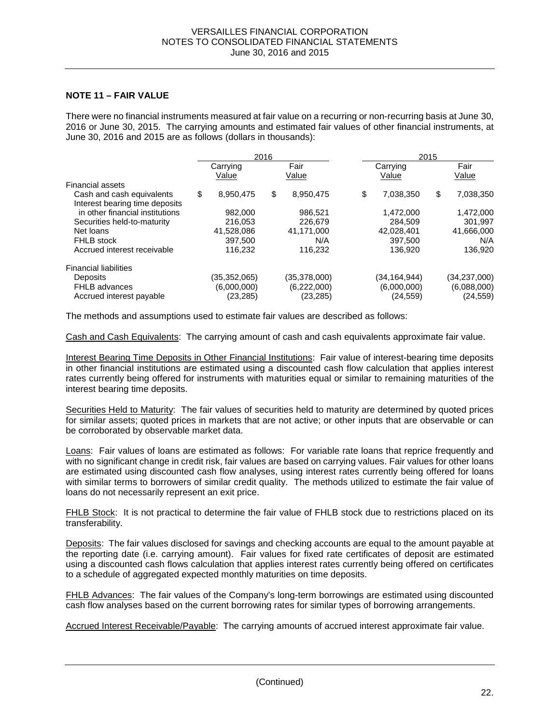### **NOTE 11 – FAIR VALUE**

There were no financial instruments measured at fair value on a recurring or non-recurring basis at June 30, 2016 or June 30, 2015. The carrying amounts and estimated fair values of other financial instruments, at June 30, 2016 and 2015 are as follows (dollars in thousands):

|  | 2016                                     |           |                                            |           |                                          |           |                                          | 2015 |  |  |
|--|------------------------------------------|-----------|--------------------------------------------|-----------|------------------------------------------|-----------|------------------------------------------|------|--|--|
|  | Carrying<br>Value                        |           | Fair<br>Value                              |           | Carrying<br>Value                        |           | Fair<br>Value                            |      |  |  |
|  |                                          |           |                                            |           |                                          |           |                                          |      |  |  |
|  |                                          |           |                                            |           |                                          |           | 7,038,350                                |      |  |  |
|  | 982,000                                  |           | 986.521                                    |           | 1,472,000                                |           | 1,472,000                                |      |  |  |
|  | 216,053                                  |           | 226.679                                    |           | 284.509                                  |           | 301.997                                  |      |  |  |
|  | 41.528.086                               |           | 41.171.000                                 |           | 42.028.401                               |           | 41,666,000                               |      |  |  |
|  | 397,500                                  |           | N/A                                        |           | 397.500                                  |           | N/A                                      |      |  |  |
|  | 116.232                                  |           | 116.232                                    |           | 136.920                                  |           | 136.920                                  |      |  |  |
|  |                                          |           |                                            |           |                                          |           |                                          |      |  |  |
|  | (35,352,065)<br>(6,000,000)<br>(23, 285) |           | (35, 378, 000)<br>(6,222,000)<br>(23, 285) |           | (34,164,944)<br>(6,000,000)<br>(24, 559) |           | (34,237,000)<br>(6,088,000)<br>(24, 559) |      |  |  |
|  | \$                                       | 8,950,475 | \$                                         | 8,950,475 | \$                                       | 7.038.350 | \$                                       |      |  |  |

The methods and assumptions used to estimate fair values are described as follows:

Cash and Cash Equivalents: The carrying amount of cash and cash equivalents approximate fair value.

Interest Bearing Time Deposits in Other Financial Institutions: Fair value of interest-bearing time deposits in other financial institutions are estimated using a discounted cash flow calculation that applies interest rates currently being offered for instruments with maturities equal or similar to remaining maturities of the interest bearing time deposits.

Securities Held to Maturity: The fair values of securities held to maturity are determined by quoted prices for similar assets; quoted prices in markets that are not active; or other inputs that are observable or can be corroborated by observable market data.

Loans: Fair values of loans are estimated as follows: For variable rate loans that reprice frequently and with no significant change in credit risk, fair values are based on carrying values. Fair values for other loans are estimated using discounted cash flow analyses, using interest rates currently being offered for loans with similar terms to borrowers of similar credit quality. The methods utilized to estimate the fair value of loans do not necessarily represent an exit price.

FHLB Stock: It is not practical to determine the fair value of FHLB stock due to restrictions placed on its transferability.

Deposits: The fair values disclosed for savings and checking accounts are equal to the amount payable at the reporting date (i.e. carrying amount). Fair values for fixed rate certificates of deposit are estimated using a discounted cash flows calculation that applies interest rates currently being offered on certificates to a schedule of aggregated expected monthly maturities on time deposits.

FHLB Advances: The fair values of the Company's long-term borrowings are estimated using discounted cash flow analyses based on the current borrowing rates for similar types of borrowing arrangements.

Accrued Interest Receivable/Payable: The carrying amounts of accrued interest approximate fair value.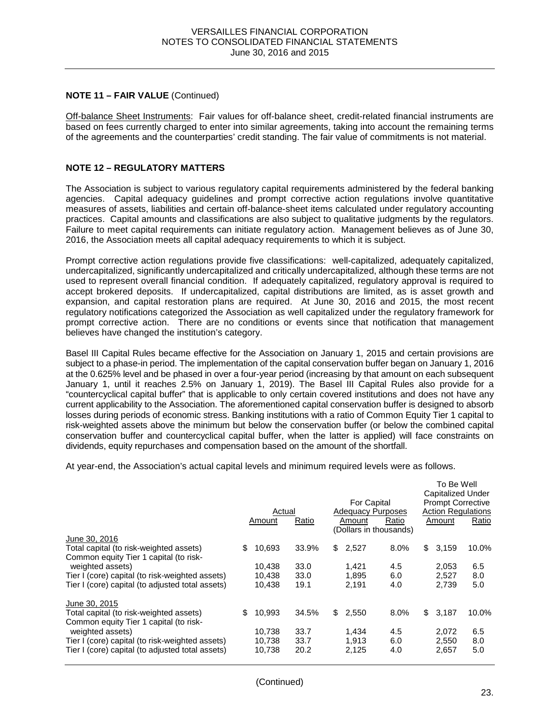#### **NOTE 11 – FAIR VALUE** (Continued)

Off-balance Sheet Instruments: Fair values for off-balance sheet, credit-related financial instruments are based on fees currently charged to enter into similar agreements, taking into account the remaining terms of the agreements and the counterparties' credit standing. The fair value of commitments is not material.

#### **NOTE 12 – REGULATORY MATTERS**

The Association is subject to various regulatory capital requirements administered by the federal banking agencies. Capital adequacy guidelines and prompt corrective action regulations involve quantitative measures of assets, liabilities and certain off-balance-sheet items calculated under regulatory accounting practices. Capital amounts and classifications are also subject to qualitative judgments by the regulators. Failure to meet capital requirements can initiate regulatory action. Management believes as of June 30, 2016, the Association meets all capital adequacy requirements to which it is subject.

Prompt corrective action regulations provide five classifications: well-capitalized, adequately capitalized, undercapitalized, significantly undercapitalized and critically undercapitalized, although these terms are not used to represent overall financial condition. If adequately capitalized, regulatory approval is required to accept brokered deposits. If undercapitalized, capital distributions are limited, as is asset growth and expansion, and capital restoration plans are required. At June 30, 2016 and 2015, the most recent regulatory notifications categorized the Association as well capitalized under the regulatory framework for prompt corrective action. There are no conditions or events since that notification that management believes have changed the institution's category.

Basel III Capital Rules became effective for the Association on January 1, 2015 and certain provisions are subject to a phase-in period. The implementation of the capital conservation buffer began on January 1, 2016 at the 0.625% level and be phased in over a four-year period (increasing by that amount on each subsequent January 1, until it reaches 2.5% on January 1, 2019). The Basel III Capital Rules also provide for a "countercyclical capital buffer" that is applicable to only certain covered institutions and does not have any current applicability to the Association. The aforementioned capital conservation buffer is designed to absorb losses during periods of economic stress. Banking institutions with a ratio of Common Equity Tier 1 capital to risk-weighted assets above the minimum but below the conservation buffer (or below the combined capital conservation buffer and countercyclical capital buffer, when the latter is applied) will face constraints on dividends, equity repurchases and compensation based on the amount of the shortfall.

At year-end, the Association's actual capital levels and minimum required levels were as follows.

|                                                                                   | Actual<br>Amount | Ratio | For Capital<br><b>Adequacy Purposes</b><br>Amount | Ratio<br>(Dollars in thousands) | To Be Well<br><b>Capitalized Under</b><br><b>Prompt Corrective</b><br><b>Action Regulations</b><br>Amount | Ratio |
|-----------------------------------------------------------------------------------|------------------|-------|---------------------------------------------------|---------------------------------|-----------------------------------------------------------------------------------------------------------|-------|
| June 30, 2016                                                                     |                  |       |                                                   |                                 |                                                                                                           |       |
| Total capital (to risk-weighted assets)                                           | \$<br>10,693     | 33.9% | \$<br>2,527                                       | 8.0%                            | \$<br>3,159                                                                                               | 10.0% |
| Common equity Tier 1 capital (to risk-                                            |                  |       |                                                   |                                 |                                                                                                           |       |
| weighted assets)                                                                  | 10.438           | 33.0  | 1.421                                             | 4.5                             | 2,053                                                                                                     | 6.5   |
| Tier I (core) capital (to risk-weighted assets)                                   | 10,438           | 33.0  | 1,895                                             | 6.0                             | 2,527                                                                                                     | 8.0   |
| Tier I (core) capital (to adjusted total assets)                                  | 10,438           | 19.1  | 2,191                                             | 4.0                             | 2,739                                                                                                     | 5.0   |
| June 30, 2015                                                                     |                  |       |                                                   |                                 |                                                                                                           |       |
| Total capital (to risk-weighted assets)<br>Common equity Tier 1 capital (to risk- | \$<br>10,993     | 34.5% | \$<br>2,550                                       | 8.0%                            | \$<br>3,187                                                                                               | 10.0% |
| weighted assets)                                                                  | 10.738           | 33.7  | 1,434                                             | 4.5                             | 2,072                                                                                                     | 6.5   |
| Tier I (core) capital (to risk-weighted assets)                                   | 10,738           | 33.7  | 1,913                                             | 6.0                             | 2,550                                                                                                     | 8.0   |
| Tier I (core) capital (to adjusted total assets)                                  | 10,738           | 20.2  | 2,125                                             | 4.0                             | 2,657                                                                                                     | 5.0   |
|                                                                                   |                  |       |                                                   |                                 |                                                                                                           |       |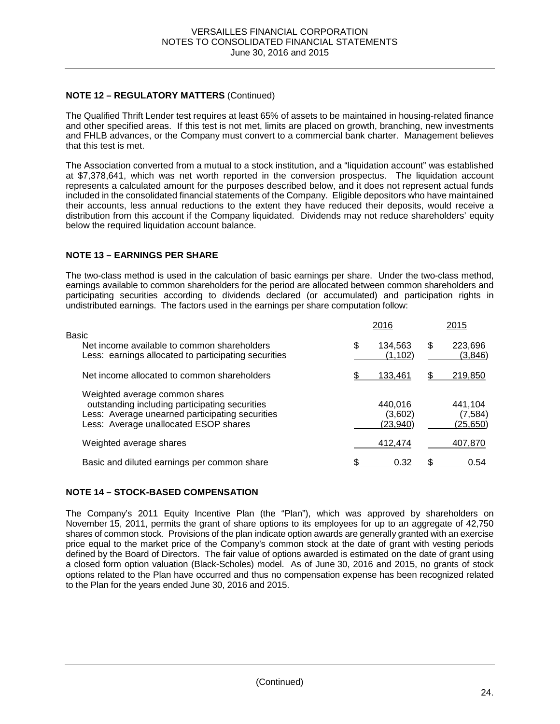# **NOTE 12 – REGULATORY MATTERS** (Continued)

The Qualified Thrift Lender test requires at least 65% of assets to be maintained in housing-related finance and other specified areas. If this test is not met, limits are placed on growth, branching, new investments and FHLB advances, or the Company must convert to a commercial bank charter. Management believes that this test is met.

The Association converted from a mutual to a stock institution, and a "liquidation account" was established at \$7,378,641, which was net worth reported in the conversion prospectus. The liquidation account represents a calculated amount for the purposes described below, and it does not represent actual funds included in the consolidated financial statements of the Company. Eligible depositors who have maintained their accounts, less annual reductions to the extent they have reduced their deposits, would receive a distribution from this account if the Company liquidated. Dividends may not reduce shareholders' equity below the required liquidation account balance.

### **NOTE 13 – EARNINGS PER SHARE**

The two-class method is used in the calculation of basic earnings per share. Under the two-class method, earnings available to common shareholders for the period are allocated between common shareholders and participating securities according to dividends declared (or accumulated) and participation rights in undistributed earnings. The factors used in the earnings per share computation follow:

|                                                                                                                                                                              |   | 2016                           |   | 2015                           |
|------------------------------------------------------------------------------------------------------------------------------------------------------------------------------|---|--------------------------------|---|--------------------------------|
| Basic<br>Net income available to common shareholders<br>Less: earnings allocated to participating securities                                                                 | S | 134,563<br>(1,102)             | S | 223,696<br>(3,846)             |
| Net income allocated to common shareholders                                                                                                                                  |   | 133.461                        |   | 219,850                        |
| Weighted average common shares<br>outstanding including participating securities<br>Less: Average unearned participating securities<br>Less: Average unallocated ESOP shares |   | 440,016<br>(3,602)<br>(23,940) |   | 441.104<br>(7,584)<br>(25,650) |
| Weighted average shares                                                                                                                                                      |   | 412.474                        |   | 407,870                        |
| Basic and diluted earnings per common share                                                                                                                                  |   | 0.32                           |   | 0.54                           |

### **NOTE 14 – STOCK-BASED COMPENSATION**

The Company's 2011 Equity Incentive Plan (the "Plan"), which was approved by shareholders on November 15, 2011, permits the grant of share options to its employees for up to an aggregate of 42,750 shares of common stock. Provisions of the plan indicate option awards are generally granted with an exercise price equal to the market price of the Company's common stock at the date of grant with vesting periods defined by the Board of Directors. The fair value of options awarded is estimated on the date of grant using a closed form option valuation (Black-Scholes) model. As of June 30, 2016 and 2015, no grants of stock options related to the Plan have occurred and thus no compensation expense has been recognized related to the Plan for the years ended June 30, 2016 and 2015.